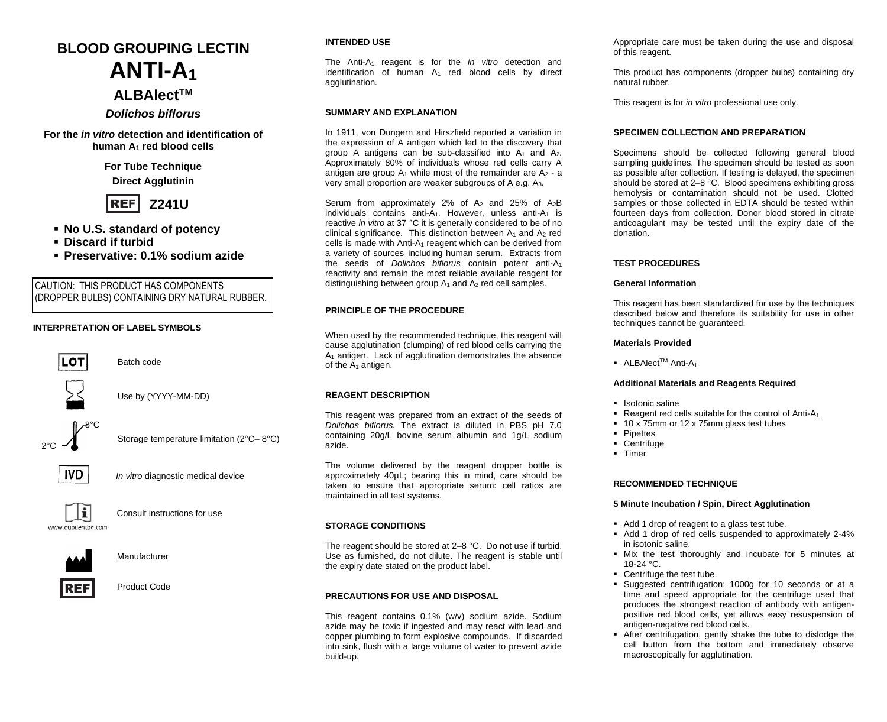# **BLOOD GROUPING LECTIN ANTI-A<sup>1</sup> ALBAlectTM**

*Dolichos biflorus*

**For the** *in vitro* **detection and identification of human A<sup>1</sup> red blood cells**

> **For Tube Technique Direct Agglutinin**



- **No U.S. standard of potency**
- **Discard if turbid**
- **Preservative: 0.1% sodium azide**

CAUTION: THIS PRODUCT HAS COMPONENTS (DROPPER BULBS) CONTAINING DRY NATURAL RUBBER.

Batch code

# **INTERPRETATION OF LABEL SYMBOLS**



Use by (YYYY-MM-DD)





j

*In vitro* diagnostic medical device

Storage temperature limitation (2°C– 8°C)



Consult instructions for use



Manufacturer

REF Product Code

# **INTENDED USE**

The Anti-A<sup>1</sup> reagent is for the *in vitro* detection and identification of human  $A_1$  red blood cells by direct agglutination.

# **SUMMARY AND EXPLANATION**

In 1911, von Dungern and Hirszfield reported a variation in the expression of A antigen which led to the discovery that group A antigens can be sub-classified into  $A_1$  and  $A_2$ . Approximately 80% of individuals whose red cells carry A antigen are group  $A_1$  while most of the remainder are  $A_2$  - a very small proportion are weaker subgroups of A e.g. A3.

Serum from approximately 2% of  $A_2$  and 25% of  $A_2B$ individuals contains anti- $A_1$ . However, unless anti- $A_1$  is reactive *in vitro* at 37 °C it is generally considered to be of no clinical significance. This distinction between  $A_1$  and  $A_2$  red cells is made with Anti-A<sub>1</sub> reagent which can be derived from a variety of sources including human serum. Extracts from the seeds of *Dolichos biflorus* contain potent anti-A<sup>1</sup> reactivity and remain the most reliable available reagent for distinguishing between group  $A_1$  and  $A_2$  red cell samples.

# **PRINCIPLE OF THE PROCEDURE**

When used by the recommended technique, this reagent will cause agglutination (clumping) of red blood cells carrying the A<sup>1</sup> antigen. Lack of agglutination demonstrates the absence of the  $A_1$  antigen.

# **REAGENT DESCRIPTION**

This reagent was prepared from an extract of the seeds of *Dolichos biflorus.* The extract is diluted in PBS pH 7.0 containing 20g/L bovine serum albumin and 1g/L sodium azide.

The volume delivered by the reagent dropper bottle is approximately 40µL; bearing this in mind, care should be taken to ensure that appropriate serum: cell ratios are maintained in all test systems.

# **STORAGE CONDITIONS**

The reagent should be stored at 2–8 °C. Do not use if turbid. Use as furnished, do not dilute. The reagent is stable until the expiry date stated on the product label.

# **PRECAUTIONS FOR USE AND DISPOSAL**

This reagent contains 0.1% (w/v) sodium azide. Sodium azide may be toxic if ingested and may react with lead and copper plumbing to form explosive compounds. If discarded into sink, flush with a large volume of water to prevent azide build-up.

Appropriate care must be taken during the use and disposal of this reagent.

This product has components (dropper bulbs) containing dry natural rubber.

This reagent is for *in vitro* professional use only.

# **SPECIMEN COLLECTION AND PREPARATION**

Specimens should be collected following general blood sampling guidelines. The specimen should be tested as soon as possible after collection. If testing is delayed, the specimen should be stored at 2–8 °C. Blood specimens exhibiting gross hemolysis or contamination should not be used. Clotted samples or those collected in EDTA should be tested within fourteen days from collection. Donor blood stored in citrate anticoagulant may be tested until the expiry date of the donation.

# **TEST PROCEDURES**

## **General Information**

This reagent has been standardized for use by the techniques described below and therefore its suitability for use in other techniques cannot be guaranteed.

#### **Materials Provided**

■ ALBAlect<sup>™</sup> Anti-A<sub>1</sub>

## **Additional Materials and Reagents Required**

- Isotonic saline
- Reagent red cells suitable for the control of Anti-A<sup>1</sup>
- 10 x 75mm or 12 x 75mm glass test tubes
- Pipettes
- Centrifuge
- Timer

# **RECOMMENDED TECHNIQUE**

# **5 Minute Incubation / Spin, Direct Agglutination**

- Add 1 drop of reagent to a glass test tube.
- Add 1 drop of red cells suspended to approximately 2-4% in isotonic saline.
- Mix the test thoroughly and incubate for 5 minutes at 18-24 °C.
- Centrifuge the test tube.
- Suggested centrifugation: 1000g for 10 seconds or at a time and speed appropriate for the centrifuge used that produces the strongest reaction of antibody with antigenpositive red blood cells, yet allows easy resuspension of antigen-negative red blood cells.
- After centrifugation, gently shake the tube to dislodge the cell button from the bottom and immediately observe macroscopically for agglutination.